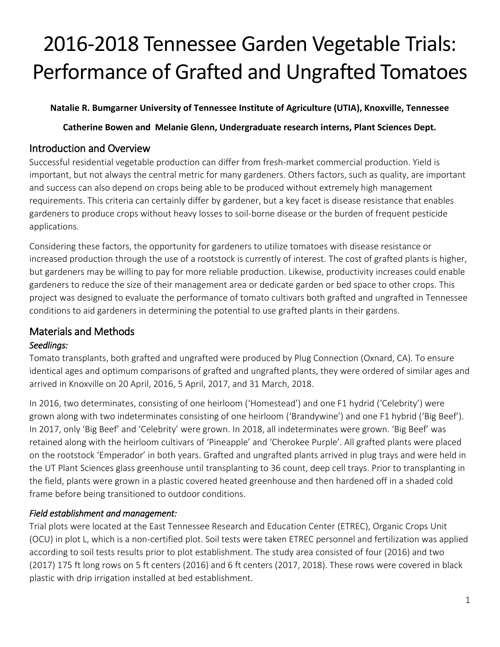# 2016-2018 Tennessee Garden Vegetable Trials: Performance of Grafted and Ungrafted Tomatoes

#### **Natalie R. Bumgarner University of Tennessee Institute of Agriculture (UTIA), Knoxville, Tennessee**

**Catherine Bowen and Melanie Glenn, Undergraduate research interns, Plant Sciences Dept.** 

## Introduction and Overview

Successful residential vegetable production can differ from fresh-market commercial production. Yield is important, but not always the central metric for many gardeners. Others factors, such as quality, are important and success can also depend on crops being able to be produced without extremely high management requirements. This criteria can certainly differ by gardener, but a key facet is disease resistance that enables gardeners to produce crops without heavy losses to soil-borne disease or the burden of frequent pesticide applications.

Considering these factors, the opportunity for gardeners to utilize tomatoes with disease resistance or increased production through the use of a rootstock is currently of interest. The cost of grafted plants is higher, but gardeners may be willing to pay for more reliable production. Likewise, productivity increases could enable gardeners to reduce the size of their management area or dedicate garden or bed space to other crops. This project was designed to evaluate the performance of tomato cultivars both grafted and ungrafted in Tennessee conditions to aid gardeners in determining the potential to use grafted plants in their gardens.

# Materials and Methods

### *Seedlings:*

Tomato transplants, both grafted and ungrafted were produced by Plug Connection (Oxnard, CA). To ensure identical ages and optimum comparisons of grafted and ungrafted plants, they were ordered of similar ages and arrived in Knoxville on 20 April, 2016, 5 April, 2017, and 31 March, 2018.

In 2016, two determinates, consisting of one heirloom ('Homestead') and one F1 hydrid ('Celebrity') were grown along with two indeterminates consisting of one heirloom ('Brandywine') and one F1 hybrid ('Big Beef'). In 2017, only 'Big Beef' and 'Celebrity' were grown. In 2018, all indeterminates were grown. 'Big Beef' was retained along with the heirloom cultivars of 'Pineapple' and 'Cherokee Purple'. All grafted plants were placed on the rootstock 'Emperador' in both years. Grafted and ungrafted plants arrived in plug trays and were held in the UT Plant Sciences glass greenhouse until transplanting to 36 count, deep cell trays. Prior to transplanting in the field, plants were grown in a plastic covered heated greenhouse and then hardened off in a shaded cold frame before being transitioned to outdoor conditions.

### *Field establishment and management:*

Trial plots were located at the East Tennessee Research and Education Center (ETREC), Organic Crops Unit (OCU) in plot L, which is a non-certified plot. Soil tests were taken ETREC personnel and fertilization was applied according to soil tests results prior to plot establishment. The study area consisted of four (2016) and two (2017) 175 ft long rows on 5 ft centers (2016) and 6 ft centers (2017, 2018). These rows were covered in black plastic with drip irrigation installed at bed establishment.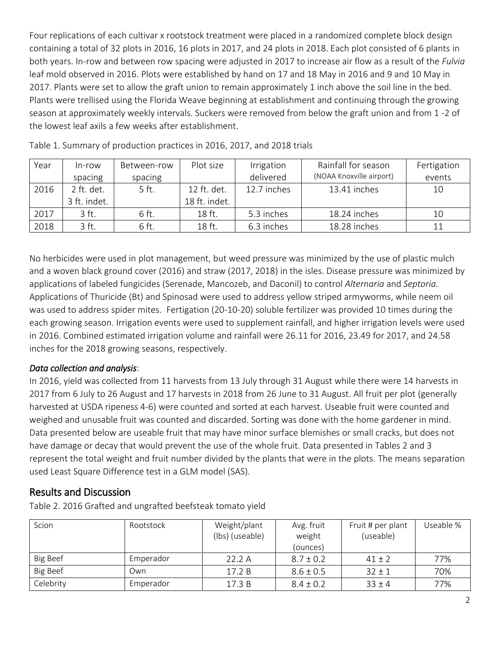Four replications of each cultivar x rootstock treatment were placed in a randomized complete block design containing a total of 32 plots in 2016, 16 plots in 2017, and 24 plots in 2018. Each plot consisted of 6 plants in both years. In-row and between row spacing were adjusted in 2017 to increase air flow as a result of the *Fulvia* leaf mold observed in 2016. Plots were established by hand on 17 and 18 May in 2016 and 9 and 10 May in 2017. Plants were set to allow the graft union to remain approximately 1 inch above the soil line in the bed. Plants were trellised using the Florida Weave beginning at establishment and continuing through the growing season at approximately weekly intervals. Suckers were removed from below the graft union and from 1 -2 of the lowest leaf axils a few weeks after establishment.

| Year | In-row       | Between-row | Plot size     | Irrigation  | Rainfall for season      | Fertigation |
|------|--------------|-------------|---------------|-------------|--------------------------|-------------|
|      | spacing      | spacing     |               | delivered   | (NOAA Knoxville airport) | events      |
| 2016 | 2 ft. det.   | 5 ft.       | 12 ft. det.   | 12.7 inches | 13.41 inches             | 10          |
|      | 3 ft. indet. |             | 18 ft. indet. |             |                          |             |
| 2017 | 3 ft.        | 6 ft.       | 18 ft.        | 5.3 inches  | 18.24 inches             | 10          |
| 2018 | 3 ft.        | 6 ft.       | 18 ft.        | 6.3 inches  | 18.28 inches             |             |

Table 1. Summary of production practices in 2016, 2017, and 2018 trials

No herbicides were used in plot management, but weed pressure was minimized by the use of plastic mulch and a woven black ground cover (2016) and straw (2017, 2018) in the isles. Disease pressure was minimized by applications of labeled fungicides (Serenade, Mancozeb, and Daconil) to control *Alternaria* and *Septoria.*  Applications of Thuricide (Bt) and Spinosad were used to address yellow striped armyworms, while neem oil was used to address spider mites. Fertigation (20-10-20) soluble fertilizer was provided 10 times during the each growing season. Irrigation events were used to supplement rainfall, and higher irrigation levels were used in 2016. Combined estimated irrigation volume and rainfall were 26.11 for 2016, 23.49 for 2017, and 24.58 inches for the 2018 growing seasons, respectively.

#### *Data collection and analysis*:

In 2016, yield was collected from 11 harvests from 13 July through 31 August while there were 14 harvests in 2017 from 6 July to 26 August and 17 harvests in 2018 from 26 June to 31 August. All fruit per plot (generally harvested at USDA ripeness 4-6) were counted and sorted at each harvest. Useable fruit were counted and weighed and unusable fruit was counted and discarded. Sorting was done with the home gardener in mind. Data presented below are useable fruit that may have minor surface blemishes or small cracks, but does not have damage or decay that would prevent the use of the whole fruit. Data presented in Tables 2 and 3 represent the total weight and fruit number divided by the plants that were in the plots. The means separation used Least Square Difference test in a GLM model (SAS).

### Results and Discussion

Table 2. 2016 Grafted and ungrafted beefsteak tomato yield

| Scion           | Rootstock | Weight/plant<br>(lbs) (useable) | Avg. fruit<br>weight<br>(ounces) | Fruit # per plant<br>(useable) | Useable % |
|-----------------|-----------|---------------------------------|----------------------------------|--------------------------------|-----------|
| Big Beef        | Emperador | 22.2A                           | $8.7 \pm 0.2$                    | $41 \pm 2$                     | 77%       |
| <b>Big Beef</b> | Own       | 17.2 B                          | $8.6 \pm 0.5$                    | $32 \pm 1$                     | 70%       |
| Celebrity       | Emperador | 17.3B                           | $8.4 \pm 0.2$                    | $33 \pm 4$                     | 77%       |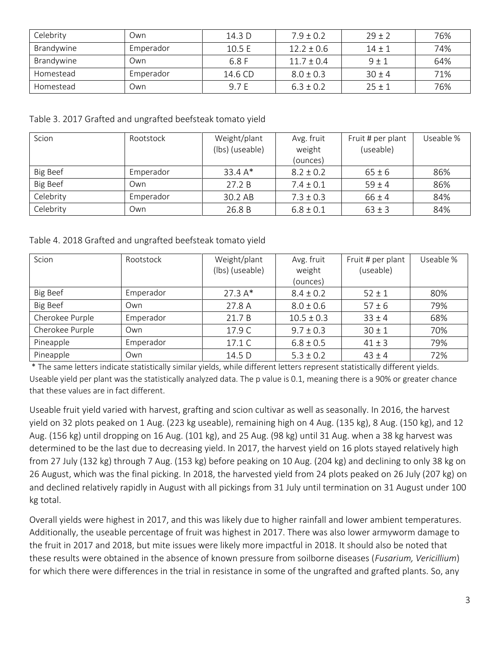| Celebrity  | Own       | 14.3 <sub>D</sub> | $7.9 \pm 0.2$  | $29 \pm 2$ | 76% |
|------------|-----------|-------------------|----------------|------------|-----|
| Brandywine | Emperador | 10.5 $E$          | $12.2 \pm 0.6$ | $14 + 1$   | 74% |
| Brandywine | Own       | 6.8 F             | $11.7 \pm 0.4$ | $9 \pm 1$  | 64% |
| Homestead  | Emperador | 14.6 CD           | $8.0 \pm 0.3$  | $30 + 4$   | 71% |
| Homestead  | Own       | 9.7 E             | $6.3 \pm 0.2$  | $25 + 1$   | 76% |

Table 3. 2017 Grafted and ungrafted beefsteak tomato yield

| Scion     | Rootstock | Weight/plant<br>(lbs) (useable) | Avg. fruit<br>weight | Fruit # per plant<br>(useable) | Useable % |
|-----------|-----------|---------------------------------|----------------------|--------------------------------|-----------|
|           |           |                                 | (ounces)             |                                |           |
| Big Beef  | Emperador | $33.4A*$                        | $8.2 \pm 0.2$        | $65 \pm 6$                     | 86%       |
| Big Beef  | Own       | 27.2 B                          | $7.4 \pm 0.1$        | $59 \pm 4$                     | 86%       |
| Celebrity | Emperador | 30.2 AB                         | $7.3 \pm 0.3$        | $66 \pm 4$                     | 84%       |
| Celebrity | Own       | 26.8 B                          | $6.8 \pm 0.1$        | $63 \pm 3$                     | 84%       |

Table 4. 2018 Grafted and ungrafted beefsteak tomato yield

| Scion           | Rootstock | Weight/plant<br>(lbs) (useable) | Avg. fruit<br>weight<br>(ounces) | Fruit # per plant<br>(useable) | Useable % |
|-----------------|-----------|---------------------------------|----------------------------------|--------------------------------|-----------|
| Big Beef        | Emperador | $27.3A*$                        | $8.4 \pm 0.2$                    | $52 \pm 1$                     | 80%       |
| Big Beef        | Own       | 27.8 A                          | $8.0 \pm 0.6$                    | $57 \pm 6$                     | 79%       |
| Cherokee Purple | Emperador | 21.7 B                          | $10.5 \pm 0.3$                   | $33 \pm 4$                     | 68%       |
| Cherokee Purple | Own       | 17.9 C                          | $9.7 \pm 0.3$                    | $30 \pm 1$                     | 70%       |
| Pineapple       | Emperador | 17.1 C                          | $6.8 \pm 0.5$                    | $41 \pm 3$                     | 79%       |
| Pineapple       | Own       | 14.5 D                          | $5.3 \pm 0.2$                    | $43 \pm 4$                     | 72%       |

\* The same letters indicate statistically similar yields, while different letters represent statistically different yields. Useable yield per plant was the statistically analyzed data. The p value is 0.1, meaning there is a 90% or greater chance that these values are in fact different.

Useable fruit yield varied with harvest, grafting and scion cultivar as well as seasonally. In 2016, the harvest yield on 32 plots peaked on 1 Aug. (223 kg useable), remaining high on 4 Aug. (135 kg), 8 Aug. (150 kg), and 12 Aug. (156 kg) until dropping on 16 Aug. (101 kg), and 25 Aug. (98 kg) until 31 Aug. when a 38 kg harvest was determined to be the last due to decreasing yield. In 2017, the harvest yield on 16 plots stayed relatively high from 27 July (132 kg) through 7 Aug. (153 kg) before peaking on 10 Aug. (204 kg) and declining to only 38 kg on 26 August, which was the final picking. In 2018, the harvested yield from 24 plots peaked on 26 July (207 kg) on and declined relatively rapidly in August with all pickings from 31 July until termination on 31 August under 100 kg total.

Overall yields were highest in 2017, and this was likely due to higher rainfall and lower ambient temperatures. Additionally, the useable percentage of fruit was highest in 2017. There was also lower armyworm damage to the fruit in 2017 and 2018, but mite issues were likely more impactful in 2018. It should also be noted that these results were obtained in the absence of known pressure from soilborne diseases (*Fusarium, Vericillium*) for which there were differences in the trial in resistance in some of the ungrafted and grafted plants. So, any